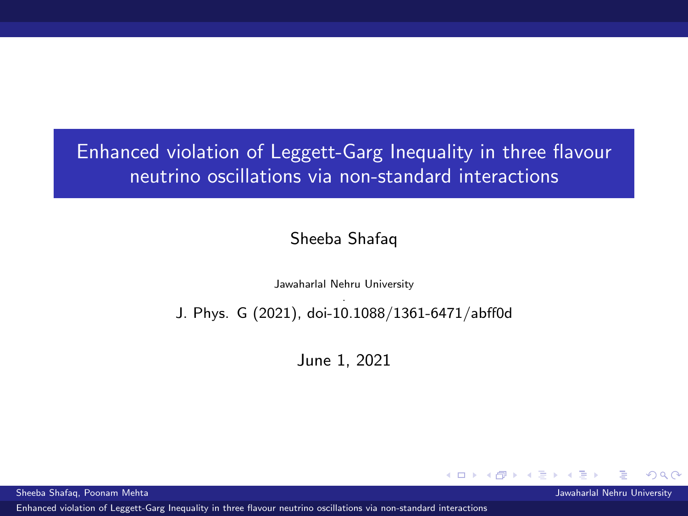<span id="page-0-0"></span>Enhanced violation of Leggett-Garg Inequality in three flavour neutrino oscillations via non-standard interactions

### Sheeba Shafaq

Jawaharlal Nehru University .

### J. Phys. G (2021), doi-10.1088/1361-6471/abff0d

June 1, 2021

4 D F

Sheeba Shafaq, Poonam Mehta Jawaharlal Nehru University

[Enhanced violation of Leggett-Garg Inequality in three flavour neutrino oscillations via non-standard interactions](#page-10-0)

つひひ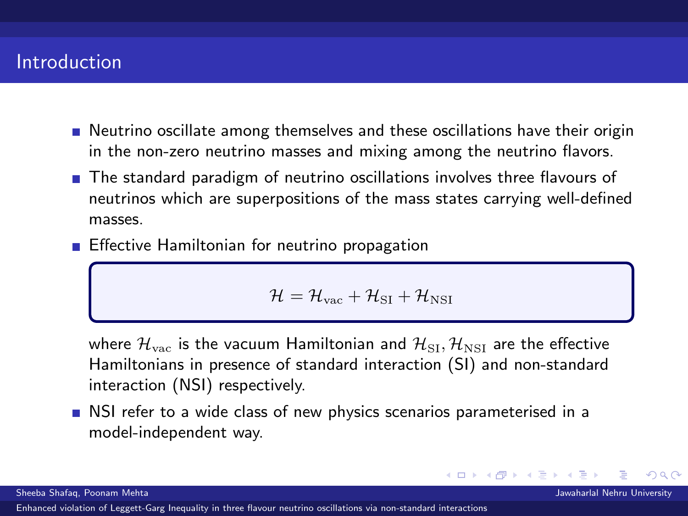# **Introduction**

- **Neutrino oscillate among themselves and these oscillations have their origin** in the non-zero neutrino masses and mixing among the neutrino flavors.
- The standard paradigm of neutrino oscillations involves three flavours of neutrinos which are superpositions of the mass states carrying well-defined masses.
- **Effective Hamiltonian for neutrino propagation**

$$
\mathcal{H} = \mathcal{H}_{\rm vac} + \mathcal{H}_{\rm SI} + \mathcal{H}_{\rm NSI}
$$

where  $\mathcal{H}_{\text{vac}}$  is the vacuum Hamiltonian and  $\mathcal{H}_{\text{SI}}$ ,  $\mathcal{H}_{\text{NSI}}$  are the effective Hamiltonians in presence of standard interaction (SI) and non-standard interaction (NSI) respectively.

4 D F

NSI refer to a wide class of new physics scenarios parameterised in a model-independent way.

つひひ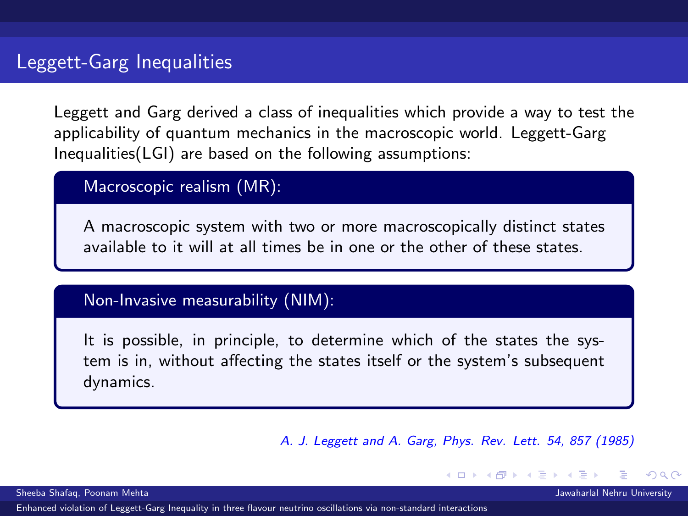<span id="page-2-0"></span>Leggett and Garg derived a class of inequalities which provide a way to test the applicability of quantum mechanics in the macroscopic world. Leggett-Garg Inequalities(LGI) are based on the following assumptions:

Macroscopic realism (MR):

A macroscopic system with two or more macroscopically distinct states available to it will at all times be in one or the other of these states.

## Non-Invasive measurability (NIM):

It is possible, in principle, to determine which of the states the system is in, without affecting the states itself or the system's subsequent dynamics.

A. J. Leggett and A. Garg, Phys. Rev. Lett. 54, 857 (1985)

Sheeba Shafaq, Poonam Mehta Jawaharlal Nehru University

[Enhanced violation of Leggett-Garg Inequality in three flavour neutrino oscillations via non-standard interactions](#page-0-0)

つひひ

1 F 4 E F 4 E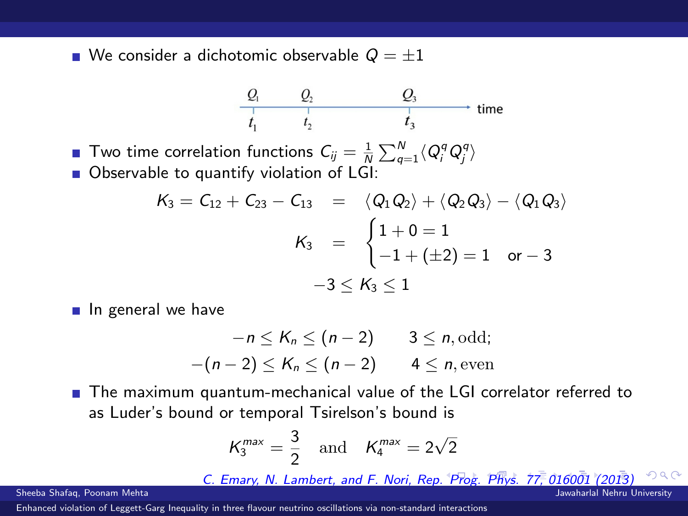<span id="page-3-0"></span>We consider a dichotomic observable  $Q = \pm 1$ 

$$
\begin{array}{cccc}\nQ_1 & Q_2 & Q_3 \\
\hline\nI_1 & I_2 & I_3\n\end{array}\n\longrightarrow \text{time}
$$

Two time correlation functions  $C_{ij} = \frac{1}{N} \sum_{q=1}^{N} \langle Q_i^q Q_j^q \rangle$ Observable to quantify violation of LGI:

$$
K_3 = C_{12} + C_{23} - C_{13} = \langle Q_1 Q_2 \rangle + \langle Q_2 Q_3 \rangle - \langle Q_1 Q_3 \rangle
$$
  

$$
K_3 = \begin{cases} 1 + 0 = 1 \\ -1 + (\pm 2) = 1 \\ 0 \text{ or } -3 \end{cases}
$$
  

$$
-3 \le K_3 \le 1
$$

In general we have

$$
-n \leq K_n \leq (n-2) \qquad 3 \leq n, \text{odd};
$$
  

$$
-(n-2) \leq K_n \leq (n-2) \qquad 4 \leq n, \text{even}
$$

■ The maximum quantum-mechanical value of the LGI correlator referred to as Luder's bound or temporal Tsirelson's bound is

$$
K_3^{max} = \frac{3}{2} \quad \text{and} \quad K_4^{max} = 2\sqrt{2}
$$

C. Emary, N. Lambert, and F. Nori, Rep[. P](#page-2-0)r[og.](#page-4-0) [P](#page-2-0)[hy](#page-3-0)[s.](#page-4-0) [77,](#page-0-0) [01](#page-10-0)[600](#page-0-0)[1 \(](#page-10-0)[201](#page-0-0)[3\)](#page-10-0)

Sheeba Shafaq, Poonam Mehta Jawaharlal Nehru University

[Enhanced violation of Leggett-Garg Inequality in three flavour neutrino oscillations via non-standard interactions](#page-0-0)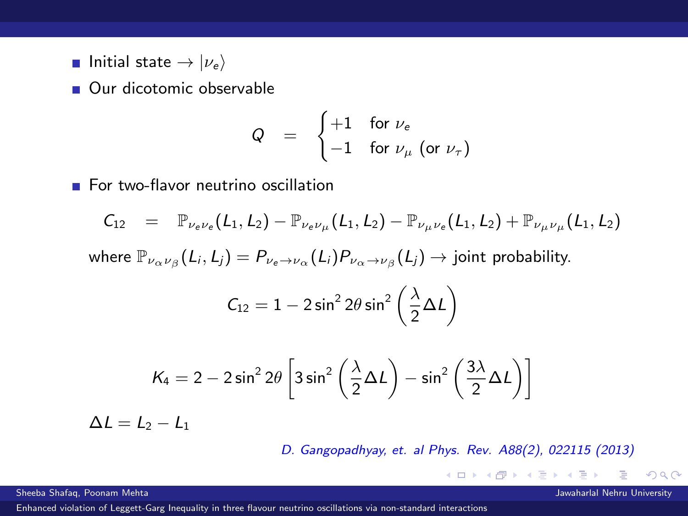<span id="page-4-0"></span>**Initial state**  $\rightarrow |\nu_e\rangle$ 

**Our dicotomic observable** 

$$
Q = \begin{cases} +1 & \text{for } \nu_e \\ -1 & \text{for } \nu_\mu \text{ (or } \nu_\tau \text{)} \end{cases}
$$

For two-flavor neutrino oscillation

$$
C_{12} = \mathbb{P}_{\nu_e \nu_e}(L_1, L_2) - \mathbb{P}_{\nu_e \nu_\mu}(L_1, L_2) - \mathbb{P}_{\nu_\mu \nu_e}(L_1, L_2) + \mathbb{P}_{\nu_\mu \nu_\mu}(L_1, L_2)
$$

where  $\mathbb{P}_{\nu_\alpha\nu_\beta}(L_i,L_j)=P_{\nu_e\to\nu_\alpha}(L_i)P_{\nu_\alpha\to\nu_\beta}(L_j)\to \text{joint probability.}$ 

$$
C_{12}=1-2\sin^22\theta\sin^2\left(\frac{\lambda}{2}\Delta L\right)
$$

$$
K_4 = 2 - 2\sin^2 2\theta \left[ 3\sin^2 \left( \frac{\lambda}{2} \Delta L \right) - \sin^2 \left( \frac{3\lambda}{2} \Delta L \right) \right]
$$

 $\Delta l = L_2 - L_1$ 

D. Gangopadhyay, et. al Phys. Rev. A88(2), 022115 (2013)

 $A \Box B$   $A \Box B$   $A \Box B$ 

Sheeba Shafaq, Poonam Mehta Jawaharlal Nehru University

[Enhanced violation of Leggett-Garg Inequality in three flavour neutrino oscillations via non-standard interactions](#page-0-0)

 $QQ$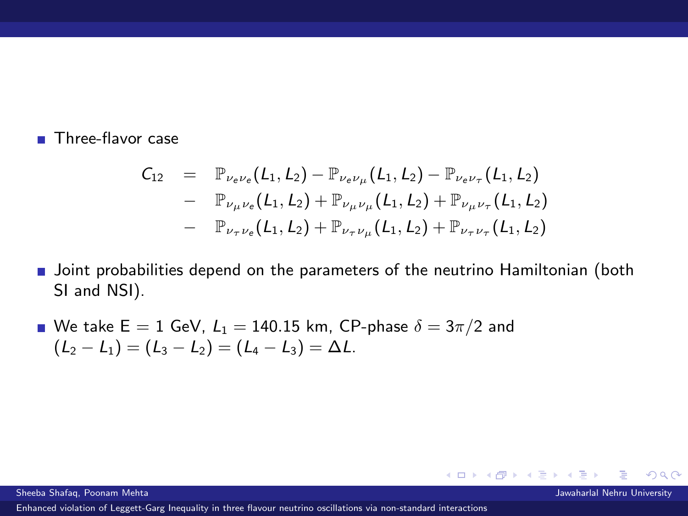#### **Three-flavor case**

$$
C_{12} = \mathbb{P}_{\nu_e \nu_e}(L_1, L_2) - \mathbb{P}_{\nu_e \nu_\mu}(L_1, L_2) - \mathbb{P}_{\nu_e \nu_\tau}(L_1, L_2) - \mathbb{P}_{\nu_\mu \nu_e}(L_1, L_2) + \mathbb{P}_{\nu_\mu \nu_\mu}(L_1, L_2) + \mathbb{P}_{\nu_\mu \nu_\tau}(L_1, L_2) - \mathbb{P}_{\nu_\tau \nu_e}(L_1, L_2) + \mathbb{P}_{\nu_\tau \nu_\mu}(L_1, L_2) + \mathbb{P}_{\nu_\tau \nu_\tau}(L_1, L_2)
$$

- **Joint probabilities depend on the parameters of the neutrino Hamiltonian (both** SI and NSI).
- We take  $E = 1$  GeV,  $L_1 = 140.15$  km, CP-phase  $\delta = 3\pi/2$  and  $(L_2 - L_1) = (L_3 - L_2) = (L_4 - L_3) = \Delta L.$

Sheeba Shafaq, Poonam Mehta Jawaharlal Nehru University

[Enhanced violation of Leggett-Garg Inequality in three flavour neutrino oscillations via non-standard interactions](#page-0-0)

イロト イ押ト イヨト イヨト

 $QQ$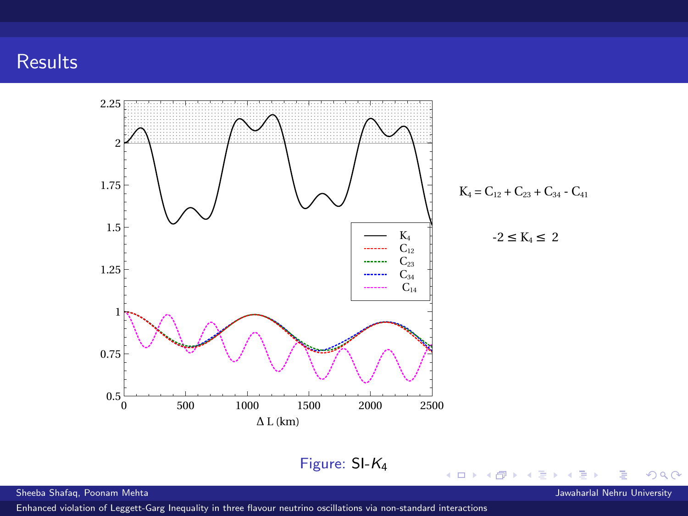# **Results**



[Enhanced violation of Leggett-Garg Inequality in three flavour neutrino oscillations via non-standard interactions](#page-0-0)

∍

 $298$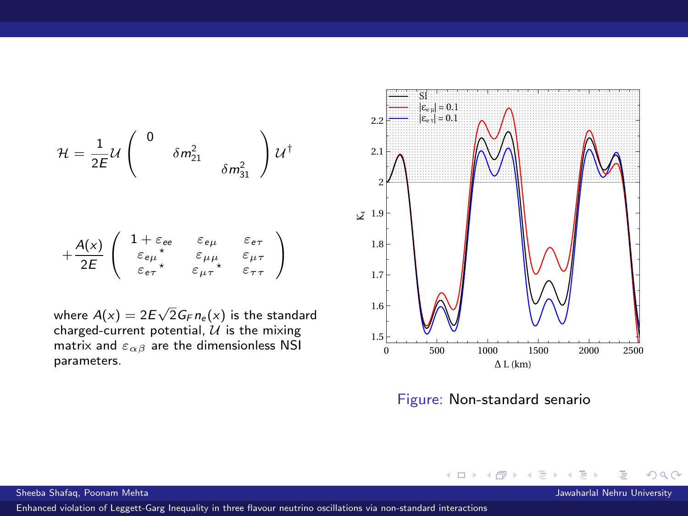$$
\mathcal{H} = \frac{1}{2E} \mathcal{U} \begin{pmatrix} 0 & \delta m_{21}^2 & \\ & \delta m_{31}^2 & \\ & & \delta m_{31}^2 \end{pmatrix} \mathcal{U}^{\dagger}
$$

$$
+ \frac{A(x)}{2E} \begin{pmatrix} 1 + \varepsilon_{ee} & \varepsilon_{e\mu} & \varepsilon_{e\tau} \\ \varepsilon_{e\mu}^* & \varepsilon_{\mu\mu} & \varepsilon_{\mu\tau} \\ \varepsilon_{e\tau}^* & \varepsilon_{\mu\tau}^* & \varepsilon_{\tau\tau} \end{pmatrix}
$$

where  $A(x) = 2E\sqrt{2}G_F n_{\rm e}(x)$  is the standard<br>charged-current potential,  $\mathcal U$  is the mixing matrix and  $\varepsilon_{\alpha\beta}$  are the dimensionless NSI parameters.



Figure: Non-standard senario

◀●

4 III F

[Enhanced violation of Leggett-Garg Inequality in three flavour neutrino oscillations via non-standard interactions](#page-0-0)

 $2Q$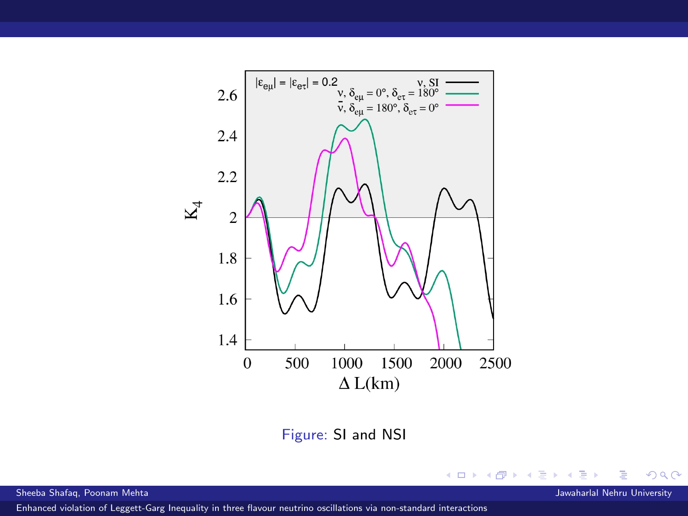

Figure: SI and NSI

Sheeba Shafaq, Poonam Mehta Jawaharlal Nehru University

[Enhanced violation of Leggett-Garg Inequality in three flavour neutrino oscillations via non-standard interactions](#page-0-0)

∍

Þ  $\rightarrow$  $\rightarrow$ **D** 

**K ロ ▶ K 御 ▶ K 君** 

 $299$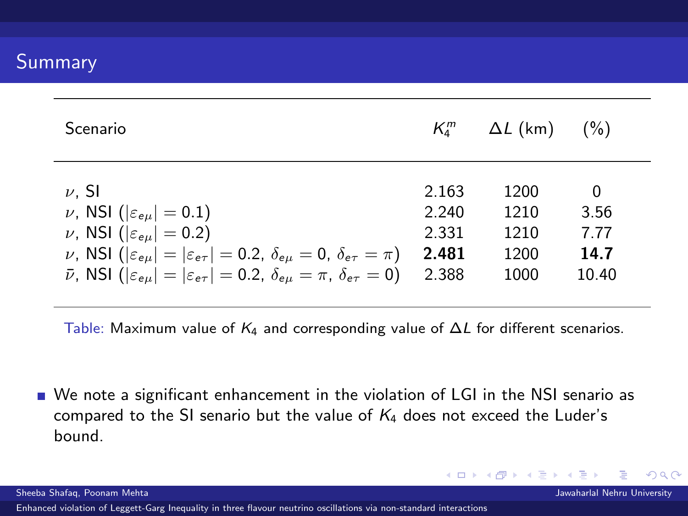| Scenario                                                                                                                  | $K^m_1$ | $\Delta L$ (km) | $($ %) |
|---------------------------------------------------------------------------------------------------------------------------|---------|-----------------|--------|
| $\nu$ . SI                                                                                                                | 2.163   | 1200            | 0      |
| $\nu$ , NSI ( $ \varepsilon_{e\mu} $ = 0.1)                                                                               | 2.240   | 1210            | 3.56   |
| $\nu$ , NSI ( $ \varepsilon_{e\mu} $ = 0.2)                                                                               | 2.331   | 1210            | 7.77   |
| $\nu$ , NSI ( $ \varepsilon_{e\mu}  =  \varepsilon_{e\tau}  = 0.2$ , $\delta_{e\mu} = 0$ , $\delta_{e\tau} = \pi$ )       | 2.481   | 1200            | 14.7   |
| $\bar{\nu}$ , NSI ( $ \varepsilon_{e\mu}  =  \varepsilon_{e\tau}  = 0.2$ , $\delta_{e\mu} = \pi$ , $\delta_{e\tau} = 0$ ) | 2.388   | 1000            | 10.40  |

Table: Maximum value of  $K_4$  and corresponding value of  $\Delta L$  for different scenarios.

We note a significant enhancement in the violation of LGI in the NSI senario as compared to the SI senario but the value of  $K_4$  does not exceed the Luder's bound.

[Enhanced violation of Leggett-Garg Inequality in three flavour neutrino oscillations via non-standard interactions](#page-0-0)

イロト イ母 トイヨ トイ

 $\Omega$